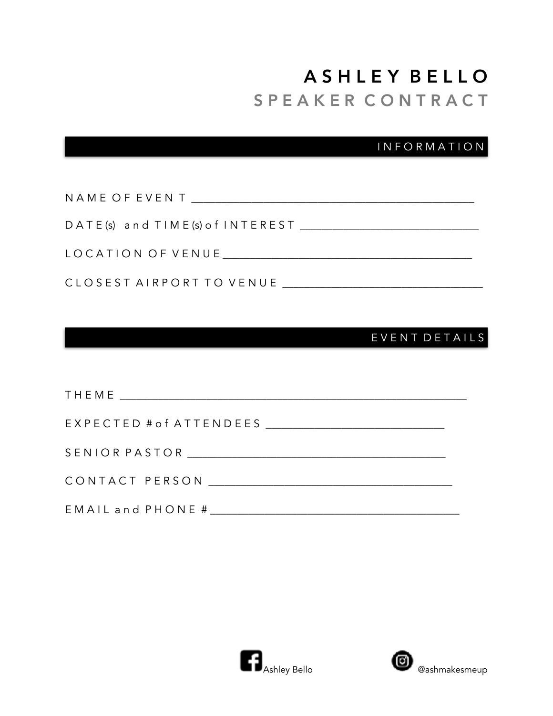# A S H L E Y B E L L O S P E A K E R C O N T R A C T

I N F O R M A T I O N

| NAME OF EVENT TEAMS IN THE STATE OF EVENT                                                                                                                                                                                            |
|--------------------------------------------------------------------------------------------------------------------------------------------------------------------------------------------------------------------------------------|
| DATE(s) and TIME(s) of INTEREST                                                                                                                                                                                                      |
| LOCATION OF VENUE <b>Andrew Service Contract Contract Contract Contract Contract Contract Contract Contract Contract Contract Contract Contract Contract Contract Contract Contract Contract Contract Contract Contract Contract</b> |
| CLOSEST AIRPORT TO VENUE                                                                                                                                                                                                             |

### E V E N T D E T A I L S

| EMAIL and PHONE # |
|-------------------|